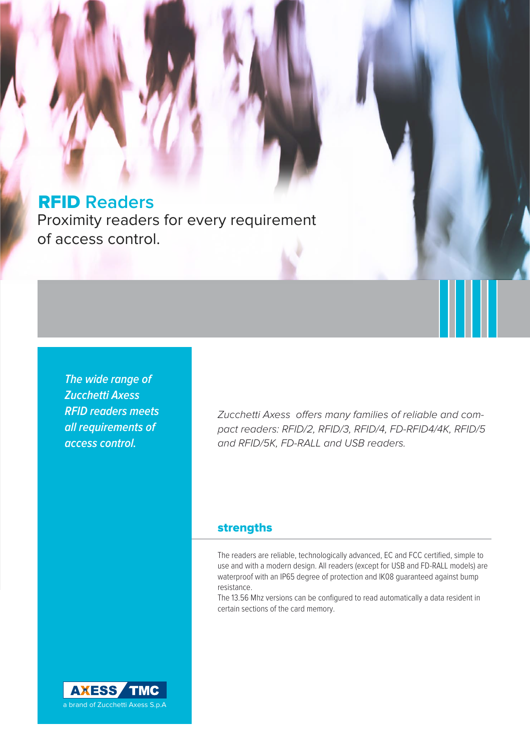# RFID **Readers**

Proximity readers for every requirement of access control.

**The wide range of Zucchetti Axess RFID readers meets all requirements of access control.** 

Zucchetti Axess offers many families of reliable and compact readers: RFID/2, RFID/3, RFID/4, FD-RFID4/4K, RFID/5 and RFID/5K, FD-RALL and USB readers.

## strengths

The readers are reliable, technologically advanced, EC and FCC certified, simple to use and with a modern design. All readers (except for USB and FD-RALL models) are waterproof with an IP65 degree of protection and IK08 guaranteed against bump resistance.

The 13.56 Mhz versions can be configured to read automatically a data resident in certain sections of the card memory.

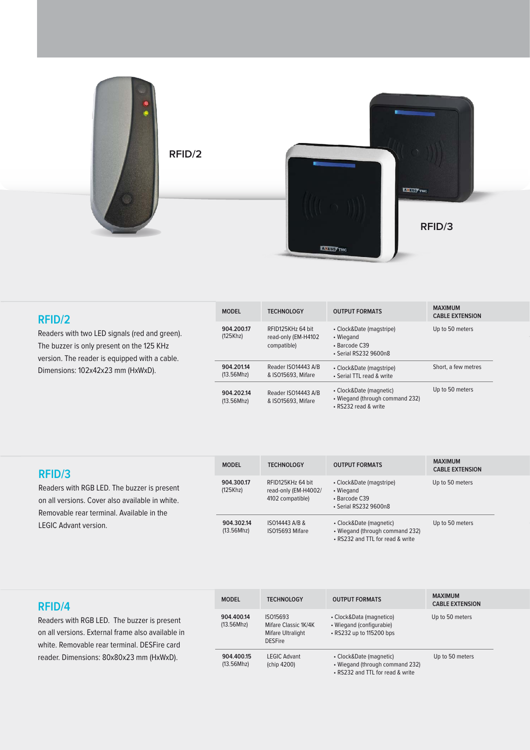

| RFID/2<br>Readers with two LED signals (red and green).<br>The buzzer is only present on the 125 KHz<br>version. The reader is equipped with a cable.<br>Dimensions: 102x42x23 mm (HxWxD). | <b>MODEL</b>             | <b>TECHNOLOGY</b>                                       | <b>OUTPUT FORMATS</b>                                                              | <b>MAXIMUM</b><br><b>CABLE EXTENSION</b> |
|--------------------------------------------------------------------------------------------------------------------------------------------------------------------------------------------|--------------------------|---------------------------------------------------------|------------------------------------------------------------------------------------|------------------------------------------|
|                                                                                                                                                                                            | 904.200.17<br>(125Khz)   | RFID125KHz 64 bit<br>read-only (EM-H4102<br>compatible) | • Clock&Date (magstripe)<br>• Wiegand<br>• Barcode C39<br>• Serial RS232 9600n8    | Up to 50 meters                          |
|                                                                                                                                                                                            | 904.201.14<br>(13.56Mhz) | Reader ISO14443 A/B<br>& ISO15693, Mifare               | • Clock&Date (magstripe)<br>• Serial TTL read & write                              | Short, a few metres                      |
|                                                                                                                                                                                            | 904.202.14<br>(13.56Mhz) | Reader ISO14443 A/B<br>& ISO15693, Mifare               | • Clock&Date (magnetic)<br>• Wiegand (through command 232)<br>• RS232 read & write | Up to 50 meters                          |

| RFID/3<br>Readers with RGB LED. The buzzer is present<br>on all versions. Cover also available in white.<br>Removable rear terminal. Available in the | <b>MODEL</b>             | <b>TFCHNOLOGY</b>                                             | <b>OUTPUT FORMATS</b>                                                                          | <b>MAXIMUM</b><br><b>CABLE EXTENSION</b> |
|-------------------------------------------------------------------------------------------------------------------------------------------------------|--------------------------|---------------------------------------------------------------|------------------------------------------------------------------------------------------------|------------------------------------------|
|                                                                                                                                                       | 904.300.17<br>(125Khz)   | RFID125KHz 64 bit<br>read-only (EM-H4002/<br>4102 compatible) | • Clock&Date (magstripe)<br>• Wiegand<br>• Barcode C39<br>• Serial RS232 9600n8                | Up to 50 meters                          |
| <b>LEGIC Advant version.</b>                                                                                                                          | 904.302.14<br>(13.56Mhz) | ISO14443 A/B &<br>ISO15693 Mifare                             | • Clock&Date (magnetic)<br>• Wiegand (through command 232)<br>• RS232 and TTL for read & write | Up to 50 meters                          |

| RFID/4                                                                                                                                           | <b>MODEL</b>             | <b>TECHNOLOGY</b>                                                       | <b>OUTPUT FORMATS</b>                                                                          | <b>MAXIMUM</b><br><b>CABLE EXTENSION</b> |
|--------------------------------------------------------------------------------------------------------------------------------------------------|--------------------------|-------------------------------------------------------------------------|------------------------------------------------------------------------------------------------|------------------------------------------|
| Readers with RGB LED. The buzzer is present<br>on all versions. External frame also available in<br>white. Removable rear terminal. DESFire card | 904.400.14<br>(13.56Mhz) | ISO15693<br>Mifare Classic 1K/4K<br>Mifare Ultralight<br><b>DESFire</b> | • Clock&Data (magnetico)<br>• Wiegand (configurabie)<br>• RS232 up to 115200 bps               | Up to 50 meters                          |
| reader. Dimensions: 80x80x23 mm (HxWxD).                                                                                                         | 904.400.15<br>(13.56Mhz) | <b>LEGIC Advant</b><br>(chip 4200)                                      | • Clock&Date (magnetic)<br>• Wiegand (through command 232)<br>• RS232 and TTL for read & write | Up to 50 meters                          |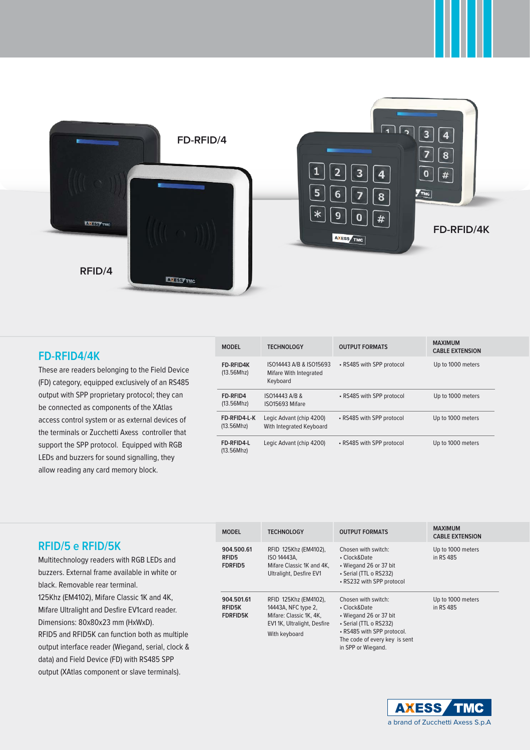

### **FD-RFID4/4K**

These are readers belonging to the Field Device (FD) category, equipped exclusively of an RS485 output with SPP proprietary protocol; they can be connected as components of the XAtlas access control system or as external devices of the terminals or Zucchetti Axess controller that support the SPP protocol. Equipped with RGB LEDs and buzzers for sound signalling, they allow reading any card memory block.

| <b>MODEL</b>               | <b>TECHNOLOGY</b>                                             | <b>OUTPUT FORMATS</b>     | <b>MAXIMUM</b><br><b>CABLE EXTENSION</b> |
|----------------------------|---------------------------------------------------------------|---------------------------|------------------------------------------|
| FD-RFID4K<br>(13.56Mhz)    | ISO14443 A/B & ISO15693<br>Mifare With Integrated<br>Keyboard | • RS485 with SPP protocol | Up to 1000 meters                        |
| FD-RFID4<br>(13.56Mhz)     | ISO14443 A/B &<br>ISO15693 Mifare                             | • RS485 with SPP protocol | Up to 1000 meters                        |
| FD-RFID4-L-K<br>(13.56Mhz) | Legic Advant (chip 4200)<br>With Integrated Keyboard          | • RS485 with SPP protocol | Up to 1000 meters                        |
| FD-RFID4-L<br>(13.56Mhz)   | Legic Advant (chip 4200)                                      | • RS485 with SPP protocol | Up to 1000 meters                        |

### **RFID/5 e RFID/5K**

Multitechnology readers with RGB LEDs and buzzers. External frame available in white or black. Removable rear terminal. 125Khz (EM4102), Mifare Classic 1K and 4K, Mifare Ultralight and Desfire EV1card reader. Dimensions: 80x80x23 mm (HxWxD). RFID5 and RFID5K can function both as multiple output interface reader (Wiegand, serial, clock & data) and Field Device (FD) with RS485 SPP output (XAtlas component or slave terminals).

| <b>MODEL</b>                                   | <b>TECHNOLOGY</b>                                                                                                      | <b>OUTPUT FORMATS</b>                                                                                                                                                        | <b>MAXIMUM</b><br><b>CABLE EXTENSION</b> |
|------------------------------------------------|------------------------------------------------------------------------------------------------------------------------|------------------------------------------------------------------------------------------------------------------------------------------------------------------------------|------------------------------------------|
| 904.500.61<br>RFID5<br><b>FDRFID5</b>          | RFID 125Khz (EM4102),<br>ISO 14443A.<br>Mifare Classic 1K and 4K,<br>Ultralight, Desfire EV1                           | Chosen with switch:<br>• Clock&Date<br>• Wiegand 26 or 37 bit<br>• Serial (TTL o RS232)<br>• RS232 with SPP protocol                                                         | Up to 1000 meters<br>in RS 485           |
| 904.501.61<br><b>RFID5K</b><br><b>FDRFID5K</b> | RFID 125Khz (EM4102),<br>14443A, NFC type 2,<br>Mifare: Classic 1K, 4K,<br>EV11K, Ultralight, Desfire<br>With keyboard | Chosen with switch:<br>• Clock&Date<br>• Wiegand 26 or 37 bit<br>• Serial (TTL o RS232)<br>• RS485 with SPP protocol.<br>The code of every key is sent<br>in SPP or Wiegand. | Up to 1000 meters<br>in RS 485           |